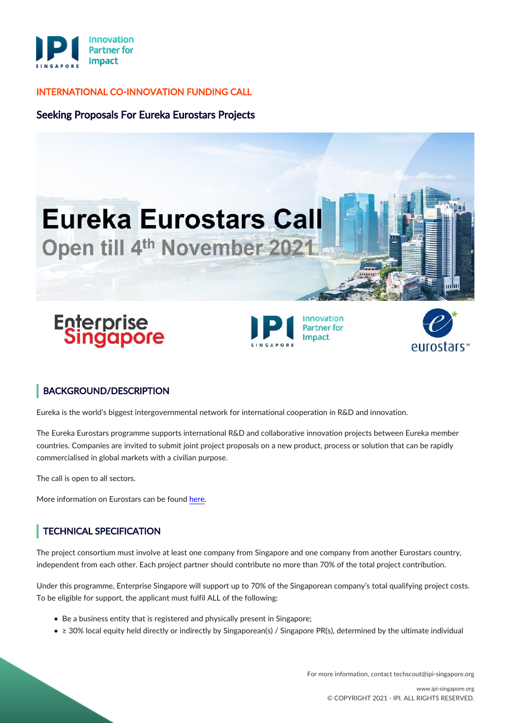

### INTERNATIONAL CO-INNOVATION FUNDING CALL

## Seeking Proposals For Eureka Eurostars Projects



Impact

# BACKGROUND/DESCRIPTION

Eureka is the world's biggest intergovernmental network for international cooperation in R&D and innovation.

The Eureka Eurostars programme supports international R&D and collaborative innovation projects between Eureka member countries. Companies are invited to submit joint project proposals on a new product, process or solution that can be rapidly commercialised in global markets with a civilian purpose.

The call is open to all sectors.

More information on Eurostars can be found [here](https://www.eurekanetwork.org/countries/singapore/eurostars/).

# TECHNICAL SPECIFICATION

The project consortium must involve at least one company from Singapore and one company from another Eurostars country, independent from each other. Each project partner should contribute no more than 70% of the total project contribution.

Under this programme, Enterprise Singapore will support up to 70% of the Singaporean company's total qualifying project costs. To be eligible for support, the applicant must fulfil ALL of the following:

- Be a business entity that is registered and physically present in Singapore;
- ≥ 30% local equity held directly or indirectly by Singaporean(s) / Singapore PR(s), determined by the ultimate individual

For more information, contact techscout@ipi-singapore.org

eurostars™